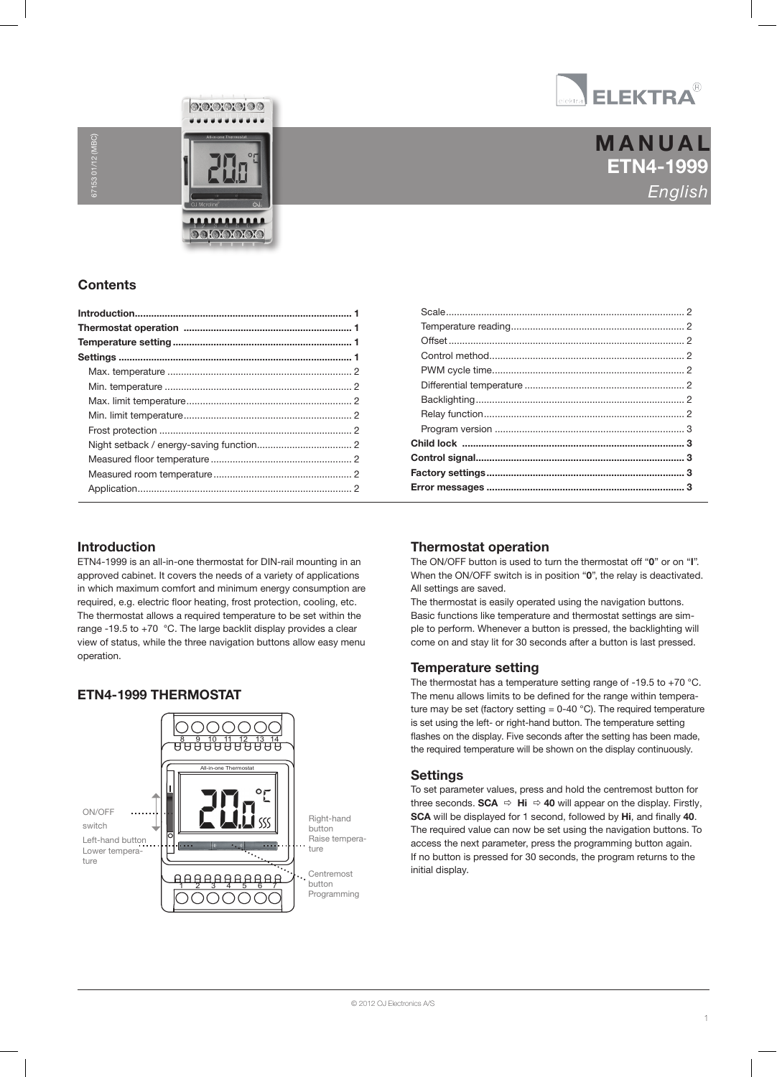

# ETN4-1999 English **MANUAL**

### **Contents**

67153 01/12 (MBC)

 $301/12$ 

MCS4-10 / MCS4-1999 / MCS4-1999 / MCS4-1999 / MCS4-10 / MSA4-1999 / MSA4-1099 / MSA4-1099 / MSA4-1099 / MSA4-1<br>MSA4-10 / MSA4-10 / MSA4-10 / MSA4-10 / MSA4-10 / MSA4-1099 / MSA4-1099 / MSA4-1099 / MSA4-1099 / MSA4-1099 /

 $\odot$  or  $\odot$  or  $\odot$ 

<u>...........</u> **DOIOIOIOIO** 

### Introduction

ETN4-1999 is an all-in-one thermostat for DIN-rail mounting in an approved cabinet. It covers the needs of a variety of applications in which maximum comfort and minimum energy consumption are required, e.g. electric floor heating, frost protection, cooling, etc. The thermostat allows a required temperature to be set within the range -19.5 to +70 °C. The large backlit display provides a clear view of status, while the three navigation buttons allow easy menu operation.

### ETN4-1999 THERMOSTAT



### Thermostat operation

The ON/OFF button is used to turn the thermostat off "0" or on "I". When the ON/OFF switch is in position "0", the relay is deactivated. All settings are saved.

The thermostat is easily operated using the navigation buttons. Basic functions like temperature and thermostat settings are simple to perform. Whenever a button is pressed, the backlighting will come on and stay lit for 30 seconds after a button is last pressed.

#### Temperature setting

The thermostat has a temperature setting range of -19.5 to +70 °C. The menu allows limits to be defined for the range within temperature may be set (factory setting =  $0-40$  °C). The required temperature is set using the left- or right-hand button. The temperature setting flashes on the display. Five seconds after the setting has been made, the required temperature will be shown on the display continuously.

#### **Settings**

To set parameter values, press and hold the centremost button for three seconds. **SCA**  $\Rightarrow$  **Hi**  $\Rightarrow$  **40** will appear on the display. Firstly, SCA will be displayed for 1 second, followed by Hi, and finally 40. The required value can now be set using the navigation buttons. To access the next parameter, press the programming button again. If no button is pressed for 30 seconds, the program returns to the initial display.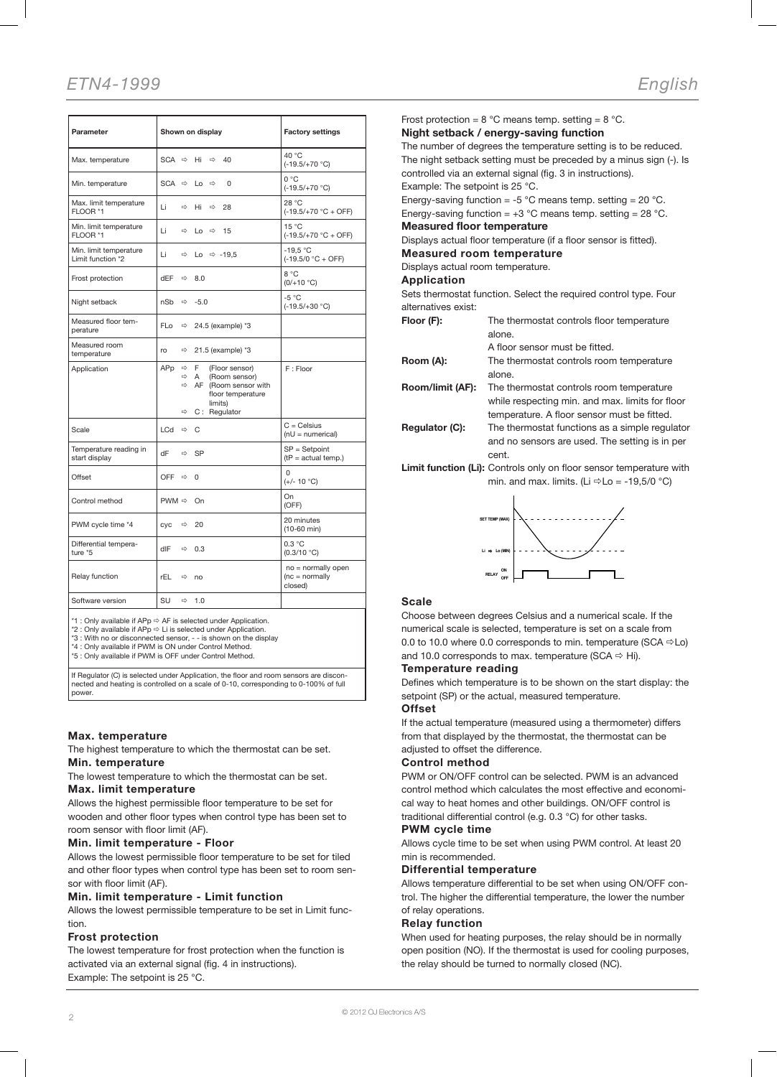# ETN4-1999 English

| Parameter                                   | Shown on display                                                                                                                                                                                           | <b>Factory settings</b>                            |
|---------------------------------------------|------------------------------------------------------------------------------------------------------------------------------------------------------------------------------------------------------------|----------------------------------------------------|
| Max. temperature                            | $SCA \Rightarrow$<br>Hi<br>$\Rightarrow$<br>40                                                                                                                                                             | 40 °C<br>$(-19.5/+70 °C)$                          |
| Min. temperature                            | $SCA \Rightarrow$<br>$\Rightarrow$<br>$\Omega$<br>Lo                                                                                                                                                       | 0 °C<br>$(-19.5/+70 °C)$                           |
| Max. limit temperature<br>FLOOR *1          | Li<br>⇨<br>Hi<br>$\Rightarrow$<br>28                                                                                                                                                                       | 28 °C<br>$(-19.5/+70 °C + OFF)$                    |
| Min. limit temperature<br>FLOOR *1          | Li<br>$\Rightarrow$<br>15<br>Lo<br>$\Rightarrow$                                                                                                                                                           | 15 °C<br>$(-19.5/+70 °C + OFF)$                    |
| Min. limit temperature<br>Limit function *2 | Li<br>⇨<br>Lo $\Rightarrow$ -19.5                                                                                                                                                                          | $-19.5 °C$<br>$(-19.5/0 °C + OFF)$                 |
| Frost protection                            | dEF<br>$\Rightarrow$<br>8.0                                                                                                                                                                                | 8 °C<br>$(0/+10 °C)$                               |
| Night setback                               | nSb<br>$\Rightarrow -5.0$                                                                                                                                                                                  | $-5^{\circ}$ C<br>$(-19.5/+30 °C)$                 |
| Measured floor tem-<br>perature             | FL <sub>o</sub><br>$\Rightarrow$<br>24.5 (example) *3                                                                                                                                                      |                                                    |
| Measured room<br>temperature                | ro<br>$\Rightarrow$<br>21.5 (example) *3                                                                                                                                                                   |                                                    |
| Application                                 | F.<br>APp<br>$\Rightarrow$<br>(Floor sensor)<br>$\Rightarrow$<br>$\overline{A}$<br>(Room sensor)<br>$\Rightarrow$<br>AF (Room sensor with<br>floor temperature<br>limits)<br>$\Rightarrow$<br>C: Regulator | F: Floor                                           |
| Scale                                       | LCd<br>C<br>$\Rightarrow$                                                                                                                                                                                  | $C = C$ elsius<br>$(nU = numerical)$               |
| Temperature reading in<br>start display     | dF<br>⇨<br>SP                                                                                                                                                                                              | $SP =$ Setpoint<br>$(tP = actual temp.)$           |
| Offset                                      | OFF $\Rightarrow$<br>$\Omega$                                                                                                                                                                              | $\Omega$<br>$(+/- 10 °C)$                          |
| Control method                              | $PWM \Rightarrow$<br>On                                                                                                                                                                                    | On<br>(OFF)                                        |
| PWM cycle time *4                           | cyc<br>$\Rightarrow$<br>20                                                                                                                                                                                 | 20 minutes<br>$(10-60$ min)                        |
| Differential tempera-<br>ture *5            | dIF<br>$\Rightarrow$<br>0.3                                                                                                                                                                                | 0.3 °C<br>(0.3/10 °C)                              |
| Relay function                              | rEL<br>$\Rightarrow$<br>no                                                                                                                                                                                 | no = normally open<br>$(nc = normally)$<br>closed) |
| Software version                            | SU<br>$\Rightarrow$<br>1.0                                                                                                                                                                                 |                                                    |

\*1 : Only available if APp AF is selected under Application. \*2 : Only available if APp Li is selected under Application.

\*3 : With no or disconnected sensor, - - is shown on the display \*4 : Only available if PWM is ON under Control Method.

\*5 : Only available if PWM is OFF under Control Method.

If Regulator (C) is selected under Application, the floor and room sensors are disconnected and heating is controlled on a scale of 0-10, corresponding to 0-100% of full power.

#### Max. temperature

The highest temperature to which the thermostat can be set. Min. temperature

The lowest temperature to which the thermostat can be set. Max. limit temperature

Allows the highest permissible floor temperature to be set for wooden and other floor types when control type has been set to room sensor with floor limit (AF).

#### Min. limit temperature - Floor

Allows the lowest permissible floor temperature to be set for tiled and other floor types when control type has been set to room sensor with floor limit (AF).

#### Min. limit temperature - Limit function

Allows the lowest permissible temperature to be set in Limit function.

#### Frost protection

The lowest temperature for frost protection when the function is activated via an external signal (fig. 4 in instructions). Example: The setpoint is 25 °C.

Frost protection =  $8 °C$  means temp. setting =  $8 °C$ . Night setback / energy-saving function The number of degrees the temperature setting is to be reduced. The night setback setting must be preceded by a minus sign (-). Is controlled via an external signal (fig. 3 in instructions). Example: The setpoint is 25 °C. Energy-saving function = -5 °C means temp. setting =  $20$  °C. Energy-saving function =  $+3$  °C means temp. setting = 28 °C. Measured floor temperature Displays actual floor temperature (if a floor sensor is fitted). Measured room temperature Displays actual room temperature. Application Sets thermostat function. Select the required control type. Four alternatives exist: Floor (F): The thermostat controls floor temperature alone. A floor sensor must be fitted. Room (A): The thermostat controls room temperature alone. Room/limit (AF): The thermostat controls room temperature while respecting min. and max. limits for floor temperature. A floor sensor must be fitted. Regulator (C): The thermostat functions as a simple regulator

and no sensors are used. The setting is in per cent.

Limit function (Li): Controls only on floor sensor temperature with min. and max. limits. (Li  $\Rightarrow$  Lo = -19,5/0 °C)



#### Scale

Choose between degrees Celsius and a numerical scale. If the numerical scale is selected, temperature is set on a scale from 0.0 to 10.0 where 0.0 corresponds to min. temperature (SCA  $\Rightarrow$  Lo) and 10.0 corresponds to max. temperature (SCA  $\Rightarrow$  Hi).

#### Temperature reading

Defines which temperature is to be shown on the start display: the setpoint (SP) or the actual, measured temperature.

#### Offset

If the actual temperature (measured using a thermometer) differs from that displayed by the thermostat, the thermostat can be adjusted to offset the difference.

#### Control method

PWM or ON/OFF control can be selected. PWM is an advanced control method which calculates the most effective and economical way to heat homes and other buildings. ON/OFF control is traditional differential control (e.g. 0.3 °C) for other tasks.

#### PWM cycle time

Allows cycle time to be set when using PWM control. At least 20 min is recommended.

#### Differential temperature

Allows temperature differential to be set when using ON/OFF control. The higher the differential temperature, the lower the number of relay operations.

#### Relay function

When used for heating purposes, the relay should be in normally open position (NO). If the thermostat is used for cooling purposes, the relay should be turned to normally closed (NC).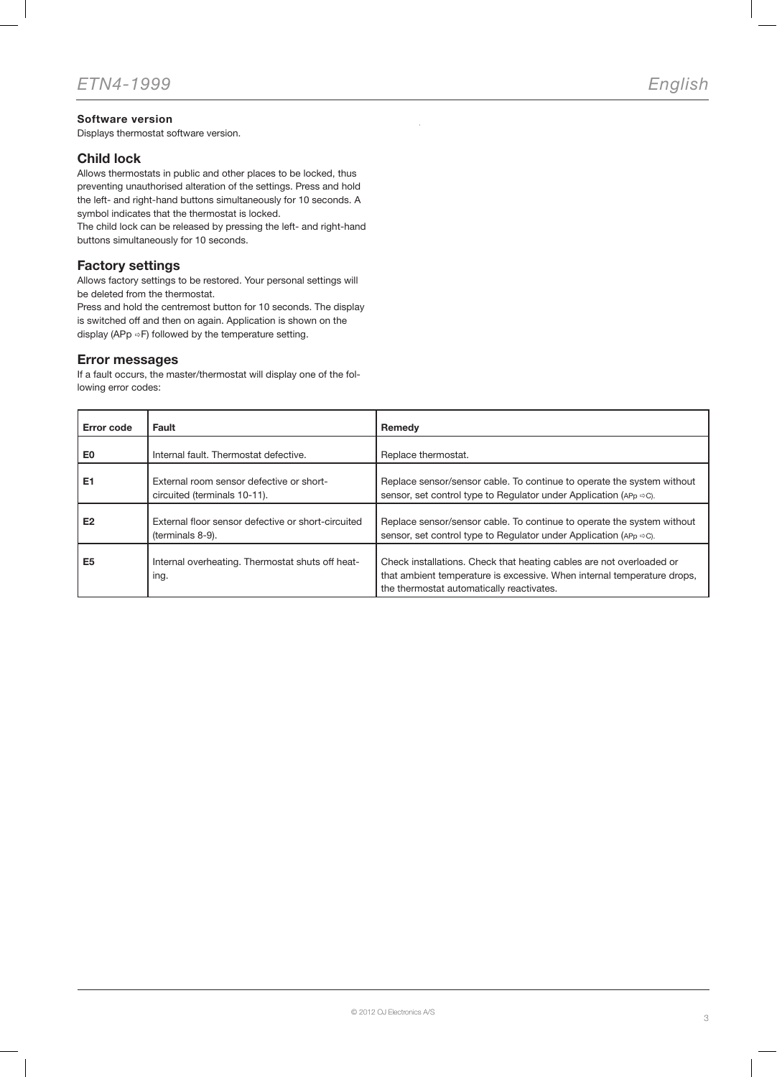### Software version

Displays thermostat software version.

### Child lock

Allows thermostats in public and other places to be locked, thus preventing unauthorised alteration of the settings. Press and hold the left- and right-hand buttons simultaneously for 10 seconds. A symbol indicates that the thermostat is locked.

The child lock can be released by pressing the left- and right-hand buttons simultaneously for 10 seconds.

### Factory settings

Allows factory settings to be restored. Your personal settings will be deleted from the thermostat.

Press and hold the centremost button for 10 seconds. The display is switched off and then on again. Application is shown on the display (APp  $\Rightarrow$  F) followed by the temperature setting.

### Error messages

If a fault occurs, the master/thermostat will display one of the following error codes:

| <b>Error code</b> | Fault                                                                    | Remedy                                                                                                                                                                                       |
|-------------------|--------------------------------------------------------------------------|----------------------------------------------------------------------------------------------------------------------------------------------------------------------------------------------|
| E0                | Internal fault. Thermostat defective.                                    | Replace thermostat.                                                                                                                                                                          |
| E <sub>1</sub>    | External room sensor defective or short-<br>circuited (terminals 10-11). | Replace sensor/sensor cable. To continue to operate the system without<br>sensor, set control type to Regulator under Application (APp $\Rightarrow$ C).                                     |
| E <sub>2</sub>    | External floor sensor defective or short-circuited<br>(terminals 8-9).   | Replace sensor/sensor cable. To continue to operate the system without<br>sensor, set control type to Regulator under Application (APp $\Rightarrow$ C).                                     |
| E <sub>5</sub>    | Internal overheating. Thermostat shuts off heat-<br>ing.                 | Check installations. Check that heating cables are not overloaded or<br>that ambient temperature is excessive. When internal temperature drops,<br>the thermostat automatically reactivates. |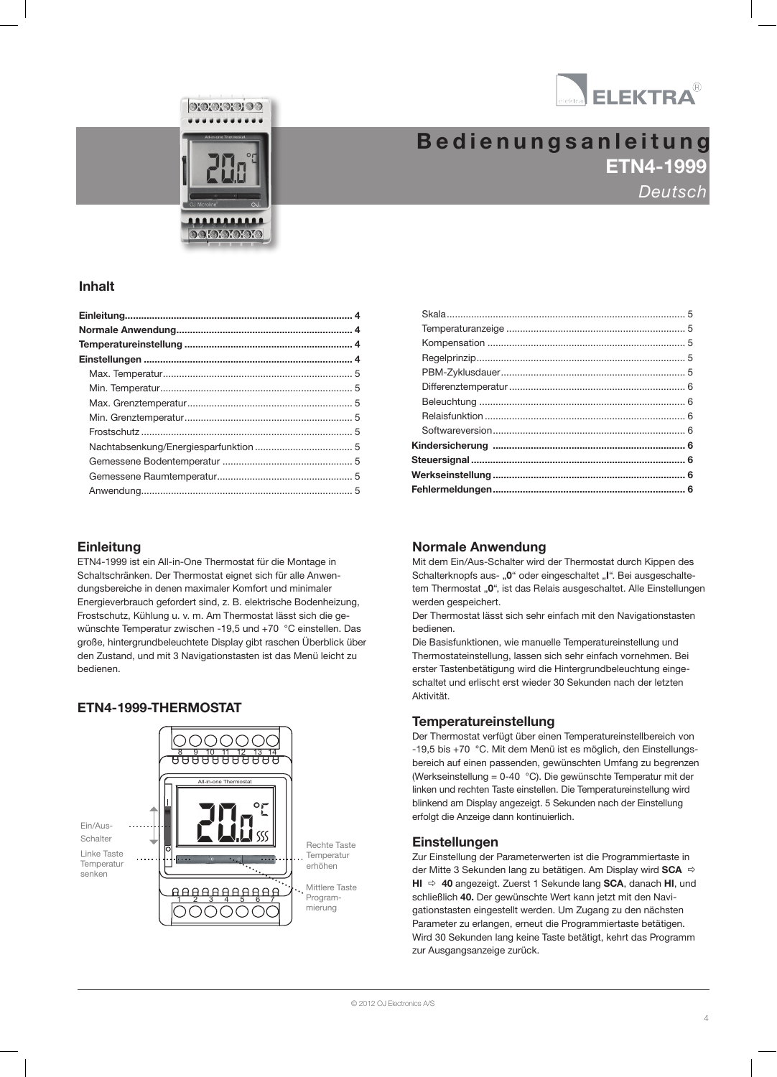

 $\odot$  or  $\odot$  or  $\odot$ MCS4-10 / MCS4-1999 / MCS4-1999 / MCS4-1999 / MCS4-10 / MSA4-1999 / MSA4-1099 / MSA4-1099 / MSA4-1099 / MSA4-1<br>MSA4-10 / MSA4-10 / MSA4-10 / MSA4-10 / MSA4-10 / MSA4-1099 / MSA4-1099 / MSA4-1099 / MSA4-1099 / MSA4-1099 / **DOIOIOIOIO** 

# ETN4-1999 Deutsch **Bedienungsanleitung**

### Inhalt

### **Einleitung**

ETN4-1999 ist ein All-in-One Thermostat für die Montage in Schaltschränken. Der Thermostat eignet sich für alle Anwendungsbereiche in denen maximaler Komfort und minimaler Energieverbrauch gefordert sind, z. B. elektrische Bodenheizung, Frostschutz, Kühlung u. v. m. Am Thermostat lässt sich die gewünschte Temperatur zwischen -19.5 und +70 °C einstellen. Das große, hintergrundbeleuchtete Display gibt raschen Überblick über den Zustand, und mit 3 Navigationstasten ist das Menü leicht zu bedienen.

### ETN4-1999-THERMOSTAT



### Normale Anwendung

Mit dem Ein/Aus-Schalter wird der Thermostat durch Kippen des Schalterknopfs aus- "0" oder eingeschaltet "I". Bei ausgeschaltetem Thermostat "0", ist das Relais ausgeschaltet. Alle Einstellungen werden gespeichert.

Der Thermostat lässt sich sehr einfach mit den Navigationstasten bedienen.

Die Basisfunktionen, wie manuelle Temperatureinstellung und Thermostateinstellung, lassen sich sehr einfach vornehmen. Bei erster Tastenbetätigung wird die Hintergrundbeleuchtung eingeschaltet und erlischt erst wieder 30 Sekunden nach der letzten Aktivität.

### Temperatureinstellung

Der Thermostat verfügt über einen Temperatureinstellbereich von -19,5 bis +70 °C. Mit dem Menü ist es möglich, den Einstellungsbereich auf einen passenden, gewünschten Umfang zu begrenzen (Werkseinstellung = 0-40 °C). Die gewünschte Temperatur mit der linken und rechten Taste einstellen. Die Temperatureinstellung wird blinkend am Display angezeigt. 5 Sekunden nach der Einstellung erfolgt die Anzeige dann kontinuierlich.

### **Einstellungen**

Zur Einstellung der Parameterwerten ist die Programmiertaste in der Mitte 3 Sekunden lang zu betätigen. Am Display wird SCA  $HI \Rightarrow 40$  angezeigt. Zuerst 1 Sekunde lang SCA, danach HI, und schließlich 40. Der gewünschte Wert kann jetzt mit den Navigationstasten eingestellt werden. Um Zugang zu den nächsten Parameter zu erlangen, erneut die Programmiertaste betätigen. Wird 30 Sekunden lang keine Taste betätigt, kehrt das Programm zur Ausgangsanzeige zurück.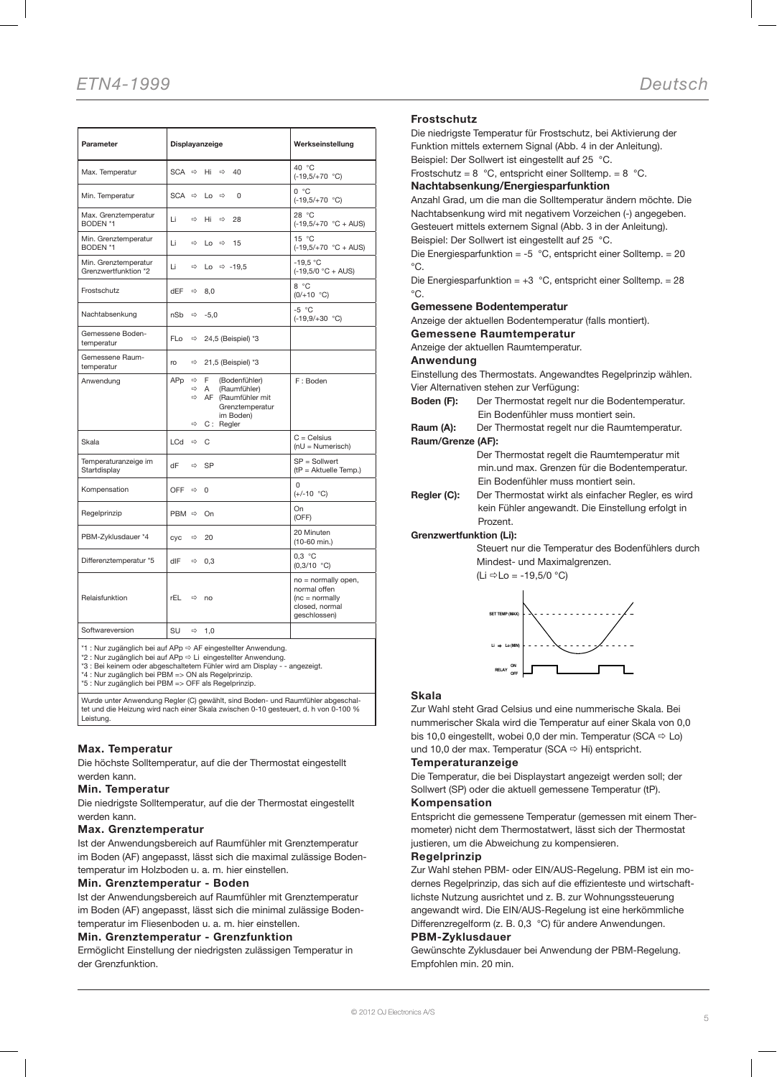| Parameter                                    | Displayanzeige                                              |                                                                                                             | Werkseinstellung                                                                           |
|----------------------------------------------|-------------------------------------------------------------|-------------------------------------------------------------------------------------------------------------|--------------------------------------------------------------------------------------------|
| Max. Temperatur                              | SCA $\Rightarrow$                                           | Hi<br>$\Rightarrow$<br>40                                                                                   | 40 °C<br>$(-19,5/+70 °C)$                                                                  |
| Min. Temperatur                              | SCA $\Leftrightarrow$                                       | $Lo \Rightarrow$<br>$\Omega$                                                                                | 0 °C<br>$(-19,5/+70 °C)$                                                                   |
| Max. Grenztemperatur<br>BODEN *1             | Li<br>$\Rightarrow$                                         | 28<br>Hi<br>$\Rightarrow$                                                                                   | 28 °C<br>$(-19,5/+70 °C + AUS)$                                                            |
| Min. Grenztemperatur<br>BODEN *1             | Li<br>$\Rightarrow$                                         | 15<br>$Lo \Rightarrow$                                                                                      | 15 °C<br>$(-19,5/+70 °C + AUS)$                                                            |
| Min. Grenztemperatur<br>Grenzwertfunktion *2 | Li<br>$\Rightarrow$                                         | Lo $\Rightarrow$ -19.5                                                                                      | $-19.5 °C$<br>$(-19,5/0 °C + AUS)$                                                         |
| Frostschutz                                  | dEF<br>$\Rightarrow$                                        | 8,0                                                                                                         | 8 °C<br>$(0/+10 °C)$                                                                       |
| Nachtabsenkung                               | nSb<br>$\Rightarrow$                                        | $-5,0$                                                                                                      | $-5 °C$<br>$(-19,9/+30 °C)$                                                                |
| Gemessene Boden-<br>temperatur               | FL <sub>o</sub><br>$\Rightarrow$                            | 24,5 (Beispiel) *3                                                                                          |                                                                                            |
| Gemessene Raum-<br>temperatur                | ro<br>$\Rightarrow$                                         | 21,5 (Beispiel) *3                                                                                          |                                                                                            |
| Anwendung                                    | APp<br>$\Rightarrow$<br>$\Rightarrow$<br>$\Rightarrow$<br>⇨ | F.<br>(Bodenfühler)<br>A<br>(Raumfühler)<br>AF (Raumfühler mit<br>Grenztemperatur<br>im Boden)<br>C: Regler | F: Boden                                                                                   |
| Skala                                        | LCd<br>$\Rightarrow$                                        | C                                                                                                           | $C = Celsius$<br>(nU = Numerisch)                                                          |
| Temperaturanzeige im<br>Startdisplay         | dF<br>$\Rightarrow$                                         | SP                                                                                                          | SP = Sollwert<br>(tP = Aktuelle Temp.)                                                     |
| Kompensation                                 | OFF<br>$\Rightarrow$                                        | 0                                                                                                           | U<br>$(+/-10 °C)$                                                                          |
| Regelprinzip                                 | PBM $\Leftrightarrow$                                       | On                                                                                                          | On<br>(OFF)                                                                                |
| PBM-Zyklusdauer *4                           | CVC<br>$\Rightarrow$                                        | 20                                                                                                          | 20 Minuten<br>$(10-60$ min.)                                                               |
| Differenztemperatur *5                       | dlF                                                         | $\Rightarrow$ 0,3                                                                                           | 0.3 °C<br>(0,3/10 °C)                                                                      |
| Relaisfunktion                               | rEL                                                         | $Arr$ no                                                                                                    | no = normally open,<br>normal offen<br>$(nc = normally)$<br>closed, normal<br>qeschlossen) |
| Softwareversion                              | SU<br>⇨                                                     | 1,0                                                                                                         |                                                                                            |

: Nur zugänglich bei auf APp  $\Leftrightarrow$  Li eingestellter Anwendung.<br>↑ Bei keinem oder abgeschaltetem Fühler wird am Display - - angezeigt \*3 : Bei keinem oder abgeschaltetem Fühler wird am Display -

\*4 : Nur zugänglich bei PBM => ON als Regelprinzip. \*5 : Nur zugänglich bei PBM => OFF als Regelprinzip.

Wurde unter Anwendung Regler (C) gewählt, sind Boden- und Raumfühler abgeschaltet und die Heizung wird nach einer Skala zwischen 0-10 gesteuert, d. h von 0-100 % Leistung.

#### Max. Temperatur

Die höchste Solltemperatur, auf die der Thermostat eingestellt werden kann.

#### Min. Temperatur

Die niedrigste Solltemperatur, auf die der Thermostat eingestellt werden kann.

#### Max. Grenztemperatur

Ist der Anwendungsbereich auf Raumfühler mit Grenztemperatur im Boden (AF) angepasst, lässt sich die maximal zulässige Bodentemperatur im Holzboden u. a. m. hier einstellen.

#### Min. Grenztemperatur - Boden

Ist der Anwendungsbereich auf Raumfühler mit Grenztemperatur im Boden (AF) angepasst, lässt sich die minimal zulässige Bodentemperatur im Fliesenboden u. a. m. hier einstellen.

#### Min. Grenztemperatur - Grenzfunktion

Ermöglicht Einstellung der niedrigsten zulässigen Temperatur in der Grenzfunktion.

#### Frostschutz

Die niedrigste Temperatur für Frostschutz, bei Aktivierung der Funktion mittels externem Signal (Abb. 4 in der Anleitung).

Beispiel: Der Sollwert ist eingestellt auf 25 °C. Frostschutz =  $8 °C$ , entspricht einer Solltemp. =  $8 °C$ .

## Nachtabsenkung/Energiesparfunktion

Anzahl Grad, um die man die Solltemperatur ändern möchte. Die Nachtabsenkung wird mit negativem Vorzeichen (-) angegeben. Gesteuert mittels externem Signal (Abb. 3 in der Anleitung). Beispiel: Der Sollwert ist eingestellt auf 25 °C.

Die Energiesparfunktion = -5 °C, entspricht einer Solltemp. = 20 °C.

Die Energiesparfunktion = +3 °C, entspricht einer Solltemp. = 28  $^{\circ}C$ .

#### Gemessene Bodentemperatur

Anzeige der aktuellen Bodentemperatur (falls montiert).

Gemessene Raumtemperatur

Anzeige der aktuellen Raumtemperatur.

#### Anwendung

Einstellung des Thermostats. Angewandtes Regelprinzip wählen. Vier Alternativen stehen zur Verfügung:

- Boden (F): Der Thermostat regelt nur die Bodentemperatur. Ein Bodenfühler muss montiert sein.
- Raum (A): Der Thermostat regelt nur die Raumtemperatur. Raum/Grenze (AF):

Der Thermostat regelt die Raumtemperatur mit min.und max. Grenzen für die Bodentemperatur. Ein Bodenfühler muss montiert sein.

Regler (C): Der Thermostat wirkt als einfacher Regler, es wird kein Fühler angewandt. Die Einstellung erfolgt in Prozent.

Grenzwertfunktion (Li):

Steuert nur die Temperatur des Bodenfühlers durch Mindest- und Maximalgrenzen.

(Li  $\Leftrightarrow$  Lo = -19,5/0 °C)



#### Skala

Zur Wahl steht Grad Celsius und eine nummerische Skala. Bei nummerischer Skala wird die Temperatur auf einer Skala von 0,0 bis 10,0 eingestellt, wobei 0,0 der min. Temperatur (SCA  $\Rightarrow$  Lo) und 10,0 der max. Temperatur (SCA  $\Rightarrow$  Hi) entspricht.

#### Temperaturanzeige

Die Temperatur, die bei Displaystart angezeigt werden soll; der Sollwert (SP) oder die aktuell gemessene Temperatur (tP).

#### Kompensation

Entspricht die gemessene Temperatur (gemessen mit einem Thermometer) nicht dem Thermostatwert, lässt sich der Thermostat justieren, um die Abweichung zu kompensieren.

#### Regelprinzip

Zur Wahl stehen PBM- oder EIN/AUS-Regelung. PBM ist ein modernes Regelprinzip, das sich auf die effizienteste und wirtschaftlichste Nutzung ausrichtet und z. B. zur Wohnungssteuerung angewandt wird. Die EIN/AUS-Regelung ist eine herkömmliche Differenzregelform (z. B. 0,3 °C) für andere Anwendungen.

#### PBM-Zyklusdauer

Gewünschte Zyklusdauer bei Anwendung der PBM-Regelung. Empfohlen min. 20 min.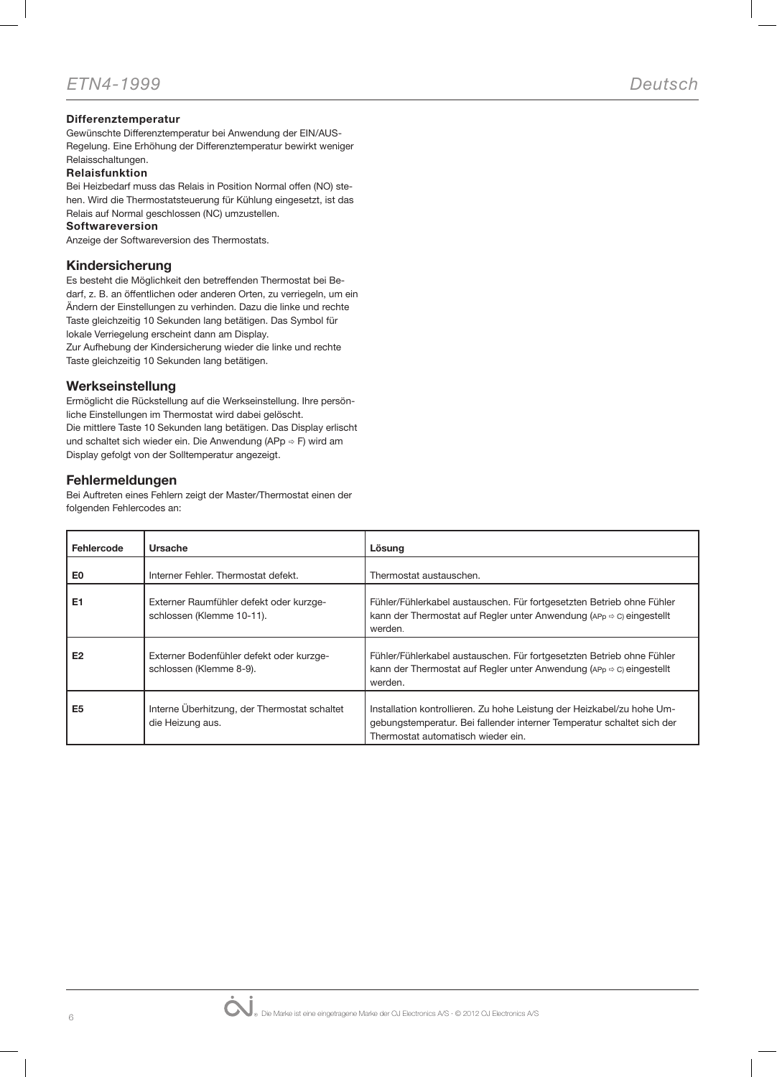### Differenztemperatur

Gewünschte Differenztemperatur bei Anwendung der EIN/AUS-Regelung. Eine Erhöhung der Differenztemperatur bewirkt weniger

#### Relaisschaltungen. Relaisfunktion

Bei Heizbedarf muss das Relais in Position Normal offen (NO) stehen. Wird die Thermostatsteuerung für Kühlung eingesetzt, ist das Relais auf Normal geschlossen (NC) umzustellen.

#### Softwareversion

Anzeige der Softwareversion des Thermostats.

### Kindersicherung

Es besteht die Möglichkeit den betreffenden Thermostat bei Bedarf, z. B. an öffentlichen oder anderen Orten, zu verriegeln, um ein Ändern der Einstellungen zu verhinden. Dazu die linke und rechte Taste gleichzeitig 10 Sekunden lang betätigen. Das Symbol für lokale Verriegelung erscheint dann am Display.

Zur Aufhebung der Kindersicherung wieder die linke und rechte Taste gleichzeitig 10 Sekunden lang betätigen.

### Werkseinstellung

Ermöglicht die Rückstellung auf die Werkseinstellung. Ihre persönliche Einstellungen im Thermostat wird dabei gelöscht. Die mittlere Taste 10 Sekunden lang betätigen. Das Display erlischt und schaltet sich wieder ein. Die Anwendung (APp  $\Rightarrow$  F) wird am Display gefolgt von der Solltemperatur angezeigt.

### Fehlermeldungen

Bei Auftreten eines Fehlern zeigt der Master/Thermostat einen der folgenden Fehlercodes an:

| Fehlercode     | Ursache                                                              | Lösung                                                                                                                                                                                 |
|----------------|----------------------------------------------------------------------|----------------------------------------------------------------------------------------------------------------------------------------------------------------------------------------|
| E0             | Interner Fehler. Thermostat defekt.                                  | Thermostat austauschen.                                                                                                                                                                |
| E <sub>1</sub> | Externer Raumfühler defekt oder kurzge-<br>schlossen (Klemme 10-11). | Fühler/Fühlerkabel austauschen. Für fortgesetzten Betrieb ohne Fühler<br>kann der Thermostat auf Regler unter Anwendung ( $APD \Rightarrow C$ ) eingestellt<br>werden.                 |
| E <sub>2</sub> | Externer Bodenfühler defekt oder kurzge-<br>schlossen (Klemme 8-9).  | Fühler/Fühlerkabel austauschen. Für fortgesetzten Betrieb ohne Fühler<br>kann der Thermostat auf Regler unter Anwendung ( $APp \approx C$ ) eingestellt<br>werden.                     |
| E <sub>5</sub> | Interne Überhitzung, der Thermostat schaltet<br>die Heizung aus.     | Installation kontrollieren. Zu hohe Leistung der Heizkabel/zu hohe Um-<br>gebungstemperatur. Bei fallender interner Temperatur schaltet sich der<br>Thermostat automatisch wieder ein. |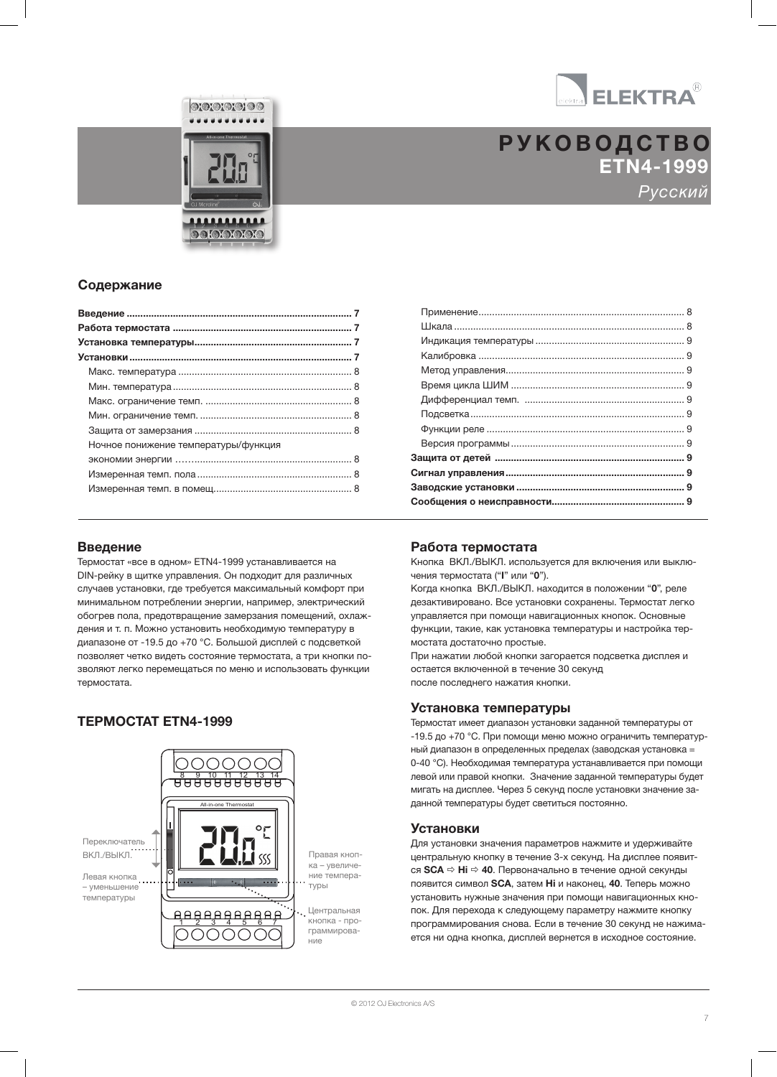

ETN4-1999 Русский РУКОВОДСТВО

### Содержание

| Ночное понижение температуры/функция |  |
|--------------------------------------|--|
|                                      |  |
|                                      |  |
|                                      |  |
|                                      |  |

MCS4-10 / MCS4-1999 / MCS4-1999 / MCS4-1999 / MCS4-10 / MSA4-1999 / MSA4-1099 / MSA4-1099 / MSA4-1099 / MSA4-1<br>MSA4-10 / MSA4-10 / MSA4-10 / MSA4-10 / MSA4-10 / MSA4-1099 / MSA4-1099 / MSA4-1099 / MSA4-1099 / MSA4-1099 /

 $\odot$  or  $\odot$  or  $\odot$ 

**DOIOIOIOIO** 

### Введение

Термостат «все в одном» ETN4-1999 устанавливается на DIN-рейку в щитке управления. Он подходит для различных случаев установки, где требуется максимальный комфорт при минимальном потреблении энергии, например, электрический обогрев пола, предотвращение замерзания помещений, охлаждения и т. п. Можно установить необходимую температуру в диапазоне от -19.5 до +70 °C. Большой дисплей с подсветкой позволяет четко видеть состояние термостата, а три кнопки позволяют легко перемещаться по меню и использовать функции термостата.

### ТЕРМОСТАТ ETN4-1999



### Работа термостата

Кнопка ВКЛ./ВЫКЛ. используется для включения или выключения термостата ("I" или "0").

Когда кнопка ВКЛ./ВЫКЛ. находится в положении "0", реле дезактивировано. Все установки сохранены. Термостат легко управляется при помощи навигационных кнопок. Основные функции, такие, как установка температуры и настройка термостата достаточно простые.

При нажатии любой кнопки загорается подсветка дисплея и остается включенной в течение 30 секунд после последнего нажатия кнопки.

### Установка температуры

Термостат имеет диапазон установки заданной температуры от -19.5 до +70 °C. При помощи меню можно ограничить температурный диапазон в определенных пределах (заводская установка = 0-40 °C). Необходимая температура устанавливается при помощи левой или правой кнопки. Значение заданной температуры будет мигать на дисплее. Через 5 секунд после установки значение заданной температуры будет светиться постоянно.

#### Установки

Для установки значения параметров нажмите и удерживайте центральную кнопку в течение 3-х секунд. На дисплее появится  $SCA \Rightarrow Hi \Rightarrow 40$ . Первоначально в течение одной секунды появится символ SCA, затем Hi и наконец, 40. Теперь можно установить нужные значения при помощи навигационных кнопок. Для перехода к следующему параметру нажмите кнопку программирования снова. Если в течение 30 секунд не нажимается ни одна кнопка, дисплей вернется в исходное состояние.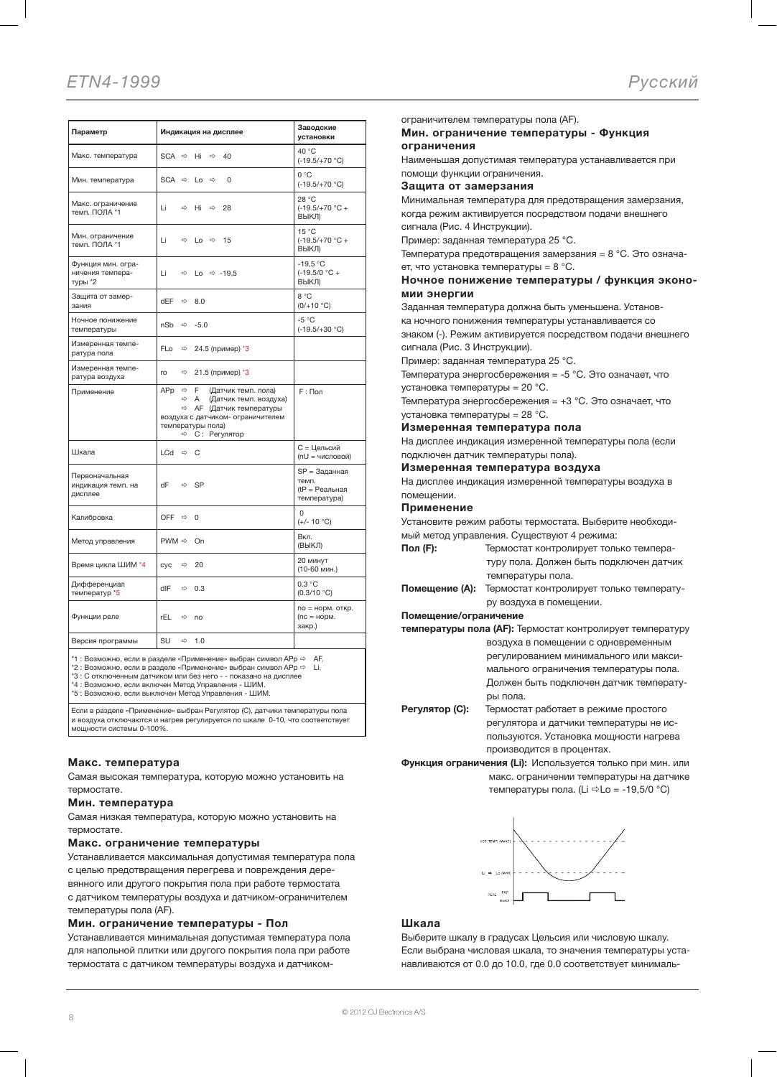| Параметр                                                                              | Индикация на дисплее                                                                                                                                                                                           | Заводские<br>установки                                   |
|---------------------------------------------------------------------------------------|----------------------------------------------------------------------------------------------------------------------------------------------------------------------------------------------------------------|----------------------------------------------------------|
| Макс. температура                                                                     | $SCA \Rightarrow$<br>Hi<br>$\Rightarrow$<br>40                                                                                                                                                                 | 40 °C<br>$(-19.5/+70 °C)$                                |
| Мин. температура                                                                      | $SCA \Rightarrow$<br>$\Rightarrow$<br>$\Omega$<br>Lo                                                                                                                                                           | 0 °C<br>$(-19.5/+70 °C)$                                 |
| Макс. ограничение<br>темп. ПОЛА *1                                                    | Li<br>$\Rightarrow$<br>Hi<br>$\Rightarrow$<br>28                                                                                                                                                               | 28 °C<br>$(-19.5/+70 °C +$<br>ВЫКЛ)                      |
| Мин. ограничение<br>темп. ПОЛА *1                                                     | Li<br>⇨<br>Lo $\Rightarrow$<br>15                                                                                                                                                                              | 15 °C<br>$(-19.5/+70 °C +$<br>ВЫКЛ)                      |
| Функция мин. огра-<br>ничения темпера-<br>туры *2                                     | Li<br>⇨<br>Lo $\Rightarrow$ -19,5                                                                                                                                                                              | $-19,5 °C$<br>$(-19.5/0 °C +$<br>ВЫКЛ)                   |
| Защита от замер-<br>зания                                                             | dEF<br>⇨<br>8.0                                                                                                                                                                                                | 8 °C<br>$(0/+10 °C)$                                     |
| Ночное понижение<br>температуры                                                       | nSb<br>$-5.0$<br>⇨                                                                                                                                                                                             | $-5 °C$<br>$(-19.5/+30 °C)$                              |
| Измеренная темпе-<br>ратура пола                                                      | <b>FLo</b><br>24.5 (пример) *3<br>$\Rightarrow$                                                                                                                                                                |                                                          |
| Измеренная темпе-<br>ратура воздуха                                                   | 21.5 (пример) *3<br>ro<br>⇨                                                                                                                                                                                    |                                                          |
| Применение                                                                            | APp<br>F<br>⇨<br>(Датчик темп. пола)<br>$\Rightarrow$<br>Α<br>(Датчик темп. воздуха)<br>АГ (Датчик температуры<br>⇨<br>воздуха с датчиком- ограничителем<br>температуры пола)<br>С: Регулятор<br>$\Rightarrow$ | <b>F</b> : Пол                                           |
| Шкала                                                                                 | LCd<br>$\Rightarrow$<br>C                                                                                                                                                                                      | С = Цельсий<br>(nU = числовой)                           |
| Первоначальная<br>индикация темп. на<br>дисплее                                       | dF<br><b>SP</b><br>$\Rightarrow$                                                                                                                                                                               | SP = Заданная<br>темп.<br>(tP = Реальная<br>температура) |
| Калибровка                                                                            | OFF<br>$\Rightarrow$<br>$\Omega$                                                                                                                                                                               | $\Omega$<br>$(+/- 10 °C)$                                |
| Метод управления                                                                      | $PWM \Rightarrow$<br>On                                                                                                                                                                                        | Вкл.<br>(ВЫКЛ)                                           |
| Время цикла ШИМ *4                                                                    | 20<br>$\Rightarrow$<br>cyc                                                                                                                                                                                     | 20 минут<br>(10-60 мин.)                                 |
| Дифференциал<br>температур *5                                                         | dIF<br>$\Rightarrow$<br>0.3                                                                                                                                                                                    | 0.3 °C<br>(0.3/10 °C)                                    |
| Функции реле                                                                          | rEL<br>$\Rightarrow$<br>no                                                                                                                                                                                     | no = норм. откр.<br>$(nc = nop.$<br>закр.)               |
| Версия программы                                                                      | SU<br>1.0<br>$\Rightarrow$                                                                                                                                                                                     |                                                          |
| *1 : Возможно, если в разделе «Применение» выбран символ APp $\Leftrightarrow$<br>AF. |                                                                                                                                                                                                                |                                                          |

 $*2:$  Возможно, если в разделе «Применение» выбран символ APp  $\Leftrightarrow$  Li. \*3 : С отключенным датчиком или без него - - показано на дисплее

\*4 : Возможно, если включен Метод Управления - ШИМ. \*5 : Возможно, если выключен Метод Управления - ШИМ.

Если в разделе «Применение» выбран Регулятор (C), датчики температуры пола и воздуха отключаются и нагрев регулируется по шкале 0-10, что соответствует мощности системы 0-100%.

#### Макс. температура

Самая высокая температура, которую можно установить на термостате.

#### Мин. температура

Самая низкая температура, которую можно установить на термостате.

#### Макс. ограничение температуры

Устанавливается максимальная допустимая температура пола с целью предотвращения перегрева и повреждения деревянного или другого покрытия пола при работе термостата с датчиком температуры воздуха и датчиком-ограничителем температуры пола (AF).

#### Мин. ограничение температуры - Пол

Устанавливается минимальная допустимая температура пола для напольной плитки или другого покрытия пола при работе термостата с датчиком температуры воздуха и датчикомограничителем температуры пола (AF).

#### Мин. ограничение температуры - Функция ограничения

Наименьшая допустимая температура устанавливается при помощи функции ограничения.

Защита от замерзания

Минимальная температура для предотвращения замерзания, когда режим активируется посредством подачи внешнего сигнала (Рис. 4 Инструкции).

Пример: заданная температура 25 °C.

Температура предотвращения замерзания = 8 °C. Это означает, что установка температуры =  $8^{\circ}$ С.

#### Ночное понижение температуры / функция экономии энергии

Заданная температура должна быть уменьшена. Установ-

ка ночного понижения температуры устанавливается со

знаком (-). Режим активируется посредством подачи внешнего сигнала (Рис. 3 Инструкции).

Пример: заданная температура 25 °C.

Температура энергосбережения = -5 °C. Это означает, что установка температуры = 20 °C.

Температура энергосбережения = +3 °C. Это означает, что установка температуры = 28 °C.

#### Измеренная температура пола

На дисплее индикация измеренной температуры пола (если подключен датчик температуры пола).

Измеренная температура воздуха

На дисплее индикация измеренной температуры воздуха в помещении.

#### Применение

Установите режим работы термостата. Выберите необходимый метод управления. Существуют 4 режима:

- Пол (F): Термостат контролирует только температуру пола. Должен быть подключен датчик температуры пола.
- Помещение (A): Термостат контролирует только температуру воздуха в помещении.

#### Помещение/ограничение

| температуры пола (АF): Термостат контролирует температуру |                                         |  |
|-----------------------------------------------------------|-----------------------------------------|--|
|                                                           | воздуха в помещении с одновременным     |  |
|                                                           | регулированием минимального или макси-  |  |
|                                                           | мального ограничения температуры пола.  |  |
|                                                           | Должен быть подключен датчик температу- |  |
|                                                           | ры пола.                                |  |
| Регулятор (С):                                            | Термостат работает в режиме простого    |  |

регулятора и датчики температуры не используются. Установка мощности нагрева производится в процентах.

Функция ограничения (Li): Используется только при мин. или макс. ограничении температуры на датчике температуры пола. (Li  $\Rightarrow$  Lo = -19,5/0 °С)



#### Шкала

Выберите шкалу в градусах Цельсия или числовую шкалу. Если выбрана числовая шкала, то значения температуры устанавливаются от 0.0 до 10.0, где 0.0 соответствует минималь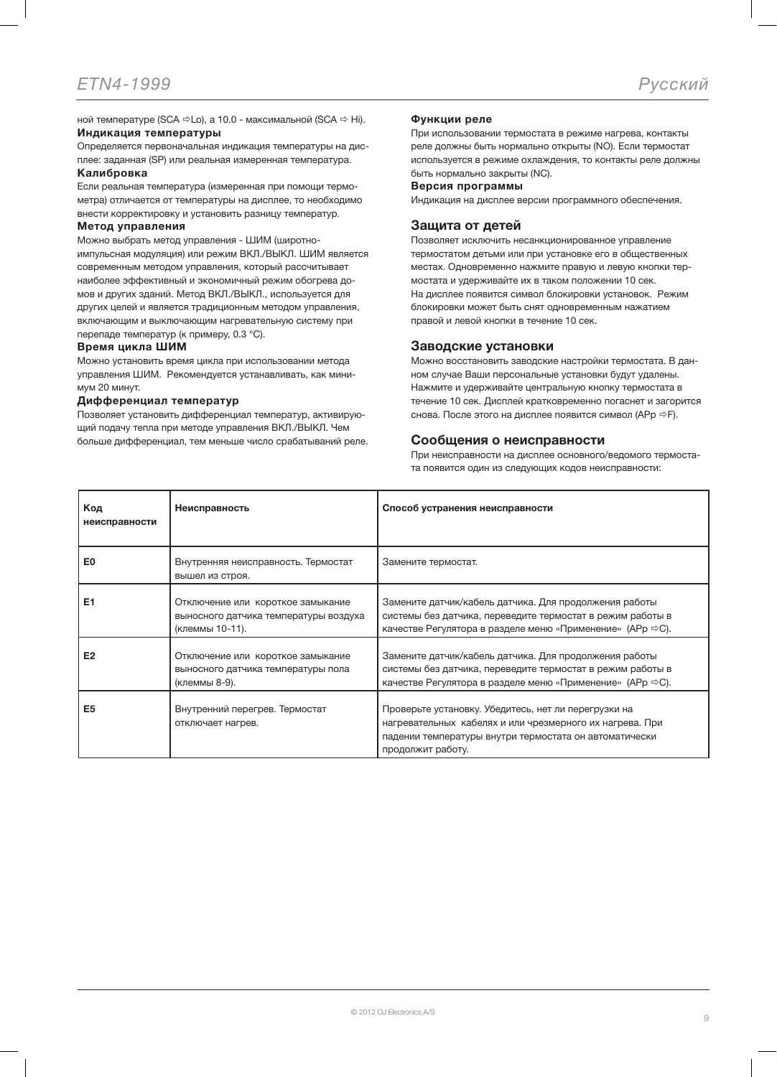ной температуре (SCA  $\Rightarrow$  Lo), а 10.0 - максимальной (SCA  $\Rightarrow$  Hi). Индикация температуры

Определяется первоначальная индикация температуры на дисплее: заданная (SP) или реальная измеренная температура.

### Калибровка

Если реальная температура (измеренная при помощи термометра) отличается от температуры на дисплее, то необходимо внести корректировку и установить разницу температур.

#### Метод управления

Можно выбрать метод управления - ШИМ (широтноимпульсная модуляция) или режим ВКЛ./ВЫКЛ. ШИМ является современным методом управления, который рассчитывает наиболее эффективный и экономичный режим обогрева домов и других зданий. Метод ВКЛ./ВЫКЛ., используется для других целей и является традиционным методом управления, включающим и выключающим нагревательную систему при перепаде температур (к примеру, 0.3 °C).

#### Время цикла ШИМ

Можно установить время цикла при использовании метода управления ШИМ. Рекомендуется устанавливать, как минимум 20 минут.

#### Дифференциал температур

Позволяет установить дифференциал температур, активирующий подачу тепла при методе управления ВКЛ./ВЫКЛ. Чем больше дифференциал, тем меньше число срабатываний реле.

### Функции реле

При использовании термостата в режиме нагрева, контакты реле должны быть нормально открыты (NO). Если термостат используется в режиме охлаждения, то контакты реле должны быть нормально закрыты (NC).

#### Версия программы

Индикация на дисплее версии программного обеспечения.

#### Защита от детей

Позволяет исключить несанкционированное управление термостатом детьми или при установке его в общественных местах. Одновременно нажмите правую и левую кнопки термостата и удерживайте их в таком положении 10 сек. На дисплее появится символ блокировки установок. Режим блокировки может быть снят одновременным нажатием правой и левой кнопки в течение 10 сек.

#### Заводские установки

Можно восстановить заводские настройки термостата. В данном случае Ваши персональные установки будут удалены. Нажмите и удерживайте центральную кнопку термостата в течение 10 сек. Дисплей кратковременно погаснет и загорится снова. После этого на дисплее появится символ (APp  $\Rightarrow$  F).

#### Сообщения о неисправности

При неисправности на дисплее основного/ведомого термостата появится один из следующих кодов неисправности:

| Код<br>неисправности | Неисправность                                                                                 | Способ устранения неисправности                                                                                                                                                                 |
|----------------------|-----------------------------------------------------------------------------------------------|-------------------------------------------------------------------------------------------------------------------------------------------------------------------------------------------------|
| E <sub>0</sub>       | Внутренняя неисправность. Термостат<br>вышел из строя.                                        | Замените термостат.                                                                                                                                                                             |
| E <sub>1</sub>       | Отключение или короткое замыкание<br>выносного датчика температуры воздуха<br>(клеммы 10-11). | Замените датчик/кабель датчика. Для продолжения работы<br>системы без датчика, переведите термостат в режим работы в<br>качестве Регулятора в разделе меню «Применение» (АРр ⇒С).               |
| E <sub>2</sub>       | Отключение или короткое замыкание<br>выносного датчика температуры пола<br>(клеммы 8-9).      | Замените датчик/кабель датчика. Для продолжения работы<br>системы без датчика, переведите термостат в режим работы в<br>качестве Регулятора в разделе меню «Применение» (АРр ⇒С).               |
| E <sub>5</sub>       | Внутренний перегрев. Термостат<br>отключает нагрев.                                           | Проверьте установку. Убедитесь, нет ли перегрузки на<br>нагревательных кабелях и или чрезмерного их нагрева. При<br>падении температуры внутри термостата он автоматически<br>продолжит работу. |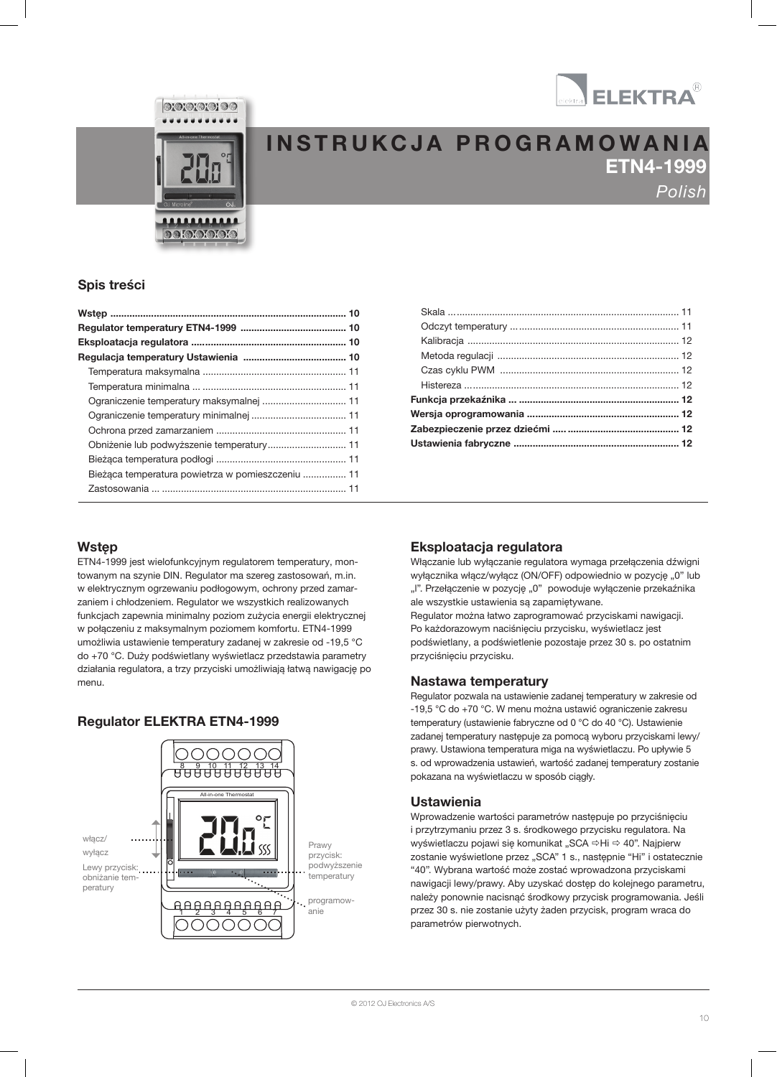



**DOIOIOIOIO** 

# INSTRUKCJA PROGRAMOWANIA ETN4-1999 Polish

### Spis treści

| Bieżąca temperatura powietrza w pomieszczeniu  11 |  |
|---------------------------------------------------|--|
|                                                   |  |

### Wstęp

ETN4-1999 jest wielofunkcyjnym regulatorem temperatury, montowanym na szynie DIN. Regulator ma szereg zastosowań, m.in. w elektrycznym ogrzewaniu podłogowym, ochrony przed zamarzaniem i chłodzeniem. Regulator we wszystkich realizowanych funkcjach zapewnia minimalny poziom zużycia energii elektrycznej w połączeniu z maksymalnym poziomem komfortu. ETN4-1999 umożliwia ustawienie temperatury zadanej w zakresie od -19,5 °C do +70 °C. Duży podświetlany wyświetlacz przedstawia parametry działania regulatora, a trzy przyciski umożliwiają łatwą nawigację po menu.

## Regulator ELEKTRA ETN4-1999



### Eksploatacja regulatora

Włączanie lub wyłączanie regulatora wymaga przełączenia dźwigni wyłącznika włącz/wyłącz (ON/OFF) odpowiednio w pozycję "0" lub "l". Przełączenie w pozycję "0" powoduje wyłączenie przekaźnika ale wszystkie ustawienia są zapamiętywane.

Regulator można łatwo zaprogramować przyciskami nawigacji. Po każdorazowym naciśnięciu przycisku, wyświetlacz jest podświetlany, a podświetlenie pozostaje przez 30 s. po ostatnim przyciśnięciu przycisku.

### Nastawa temperatury

Regulator pozwala na ustawienie zadanej temperatury w zakresie od -19,5 °C do +70 °C. W menu można ustawić ograniczenie zakresu temperatury (ustawienie fabryczne od 0 °C do 40 °C). Ustawienie zadanej temperatury następuje za pomocą wyboru przyciskami lewy/ prawy. Ustawiona temperatura miga na wyświetlaczu. Po upływie 5 s. od wprowadzenia ustawień, wartość zadanej temperatury zostanie pokazana na wyświetlaczu w sposób ciągły.

### Ustawienia

Wprowadzenie wartości parametrów następuje po przyciśnięciu i przytrzymaniu przez 3 s. środkowego przycisku regulatora. Na wyświetlaczu pojawi się komunikat "SCA ⇒Hi ⇒ 40". Najpierw zostanie wyświetlone przez "SCA" 1 s., następnie "Hi" i ostatecznie "40". Wybrana wartość może zostać wprowadzona przyciskami nawigacji lewy/prawy. Aby uzyskać dostęp do kolejnego parametru, należy ponownie nacisnąć środkowy przycisk programowania. Jeśli przez 30 s. nie zostanie użyty żaden przycisk, program wraca do parametrów pierwotnych.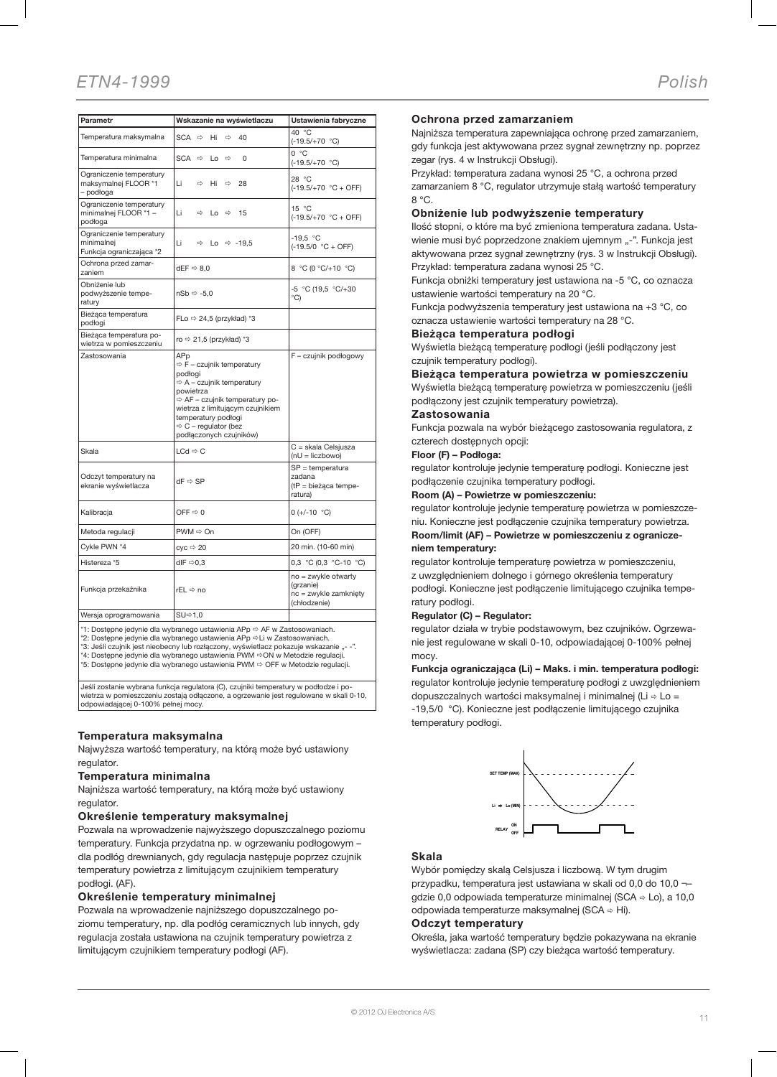| Parametr                                                           | Wskazanie na wyświetlaczu                                                                                                                                                                                                                                                                             | Ustawienia fabryczne                                              |  |  |
|--------------------------------------------------------------------|-------------------------------------------------------------------------------------------------------------------------------------------------------------------------------------------------------------------------------------------------------------------------------------------------------|-------------------------------------------------------------------|--|--|
| Temperatura maksymalna                                             | $SCA \Rightarrow Hi$<br>$\Rightarrow$<br>40                                                                                                                                                                                                                                                           | 40 °C<br>$(-19.5/+70 °C)$                                         |  |  |
| Temperatura minimalna                                              | $SCA \Rightarrow Lo$<br>$\Rightarrow$<br>0                                                                                                                                                                                                                                                            | 0 °C<br>$(-19.5/+70 °C)$                                          |  |  |
| Ograniczenie temperatury<br>maksymalnej FLOOR *1<br>– podłoga      | Li<br>$\Rightarrow$<br>Hi<br>$\Rightarrow$<br>28                                                                                                                                                                                                                                                      | 28 °C<br>$(-19.5/+70 °C + OFF)$                                   |  |  |
| Ograniczenie temperatury<br>minimalnej FLOOR *1 -<br>podłoga       | Li<br>$\Rightarrow$ Lo $\Rightarrow$<br>15                                                                                                                                                                                                                                                            | 15 °C<br>$(-19.5/+70 °C + OFF)$                                   |  |  |
| Ograniczenie temperatury<br>minimalnej<br>Funkcja ograniczająca *2 | Li<br>Lo $\Rightarrow$ -19.5<br>$\Rightarrow$                                                                                                                                                                                                                                                         | $-19.5 °C$<br>$(-19.5/0 °C + OFF)$                                |  |  |
| Ochrona przed zamar-<br>dEF $\Rightarrow$ 8,0<br>zaniem            |                                                                                                                                                                                                                                                                                                       | 8 °C (0 °C/+10 °C)                                                |  |  |
| Obniżenie lub<br>podwyższenie tempe-<br>ratury                     | $nSb \Rightarrow -5.0$                                                                                                                                                                                                                                                                                | -5 °C (19,5 °C/+30<br>$^{\circ}$ C)                               |  |  |
| Bieżąca temperatura<br>podłogi                                     | FLo $\Rightarrow$ 24,5 (przykład) *3                                                                                                                                                                                                                                                                  |                                                                   |  |  |
| Bieżąca temperatura po-<br>wietrza w pomieszczeniu                 | ro $\Rightarrow$ 21,5 (przykład) *3                                                                                                                                                                                                                                                                   |                                                                   |  |  |
| Zastosowania                                                       | APp<br>$\Leftrightarrow$ F - czujnik temperatury<br>podłogi<br>$\Leftrightarrow$ A - czujnik temperatury<br>powietrza<br>$\Leftrightarrow$ AF - czujnik temperatury po-<br>wietrza z limitującym czujnikiem<br>temperatury podłogi<br>$\Leftrightarrow$ C - regulator (bez<br>podłączonych czujników) | F - czujnik podłogowy                                             |  |  |
| Skala                                                              | $LCd \Rightarrow C$                                                                                                                                                                                                                                                                                   | C = skala Celsjusza<br>$(nU = liczbowo)$                          |  |  |
| Odczyt temperatury na<br>ekranie wyświetlacza                      | $dF \Rightarrow SP$                                                                                                                                                                                                                                                                                   | $SP = temperature$<br>zadana<br>$(tP = biežaca$ tempe-<br>ratura) |  |  |
| Kalibracja                                                         | OFF $\Rightarrow$ 0                                                                                                                                                                                                                                                                                   | $0 (+/-10 °C)$                                                    |  |  |
| Metoda regulacji                                                   | $PWM \Rightarrow On$                                                                                                                                                                                                                                                                                  |                                                                   |  |  |
| Cykle PWN *4                                                       | $cyc \Rightarrow 20$                                                                                                                                                                                                                                                                                  | 20 min. (10-60 min)                                               |  |  |
| Histereza *5                                                       | dlF $\Rightarrow$ 0,3                                                                                                                                                                                                                                                                                 | 0.3 °C (0.3 °C-10 °C)                                             |  |  |
| Funkcja przekaźnika                                                | rEL ⇔ no                                                                                                                                                                                                                                                                                              |                                                                   |  |  |
| Wersja oprogramowania<br>SU⇔1,0                                    |                                                                                                                                                                                                                                                                                                       |                                                                   |  |  |

\*1: Dostepne jedynie dla wybranego ustawienia APp  $\Rightarrow$  AF w Zastosowaniach.

\*2: Dostępne jedynie dla wybranego ustawienia APp ⇔Li w Zastosowaniach.<br>\*3: Jeśli czujnik jest nieobecny lub rozłączony, wyświetlacz pokazuje wskazanie "- -".

\*4: Dostępne jedynie dla wybranego ustawienia PWM ⇔ON w Metodzie regulacji.<br>\*5: Dostępne jedynie dla wybranego ustawienia PWM ⇔ OFF w Metodzie regulacji.

Jeśli zostanie wybrana funkcja regulatora (C), czujniki temperatury w podłodze i powietrza w pomieszczeniu zostają odłączone, a ogrzewanie jest regulowane w skali 0-10, odpowiadającej 0-100% pełnej mocy.

#### Temperatura maksymalna

Najwyższa wartość temperatury, na którą może być ustawiony regulator.

#### Temperatura minimalna

Najniższa wartość temperatury, na którą może być ustawiony regulator.

#### Określenie temperatury maksymalnej

Pozwala na wprowadzenie najwyższego dopuszczalnego poziomu temperatury. Funkcja przydatna np. w ogrzewaniu podłogowym – dla podłóg drewnianych, gdy regulacja następuje poprzez czujnik temperatury powietrza z limitującym czujnikiem temperatury podłogi. (AF).

#### Określenie temperatury minimalnej

Pozwala na wprowadzenie najniższego dopuszczalnego poziomu temperatury, np. dla podłóg ceramicznych lub innych, gdy regulacja została ustawiona na czujnik temperatury powietrza z limitującym czujnikiem temperatury podłogi (AF).

#### Ochrona przed zamarzaniem

Najniższa temperatura zapewniająca ochronę przed zamarzaniem, gdy funkcja jest aktywowana przez sygnał zewnętrzny np. poprzez zegar (rys. 4 w Instrukcji Obsługi).

Przykład: temperatura zadana wynosi 25 °C, a ochrona przed zamarzaniem 8 °C, regulator utrzymuje stałą wartość temperatury 8 °C.

#### Obniżenie lub podwyższenie temperatury

Ilość stopni, o które ma być zmieniona temperatura zadana. Ustawienie musi być poprzedzone znakiem ujemnym "-". Funkcja jest aktywowana przez sygnał zewnętrzny (rys. 3 w Instrukcji Obsługi). Przykład: temperatura zadana wynosi 25 °C.

Funkcja obniżki temperatury jest ustawiona na -5 °C, co oznacza ustawienie wartości temperatury na 20 °C.

Funkcja podwyższenia temperatury jest ustawiona na +3 °C, co oznacza ustawienie wartości temperatury na 28 °C.

#### Bieżąca temperatura podłogi

Wyświetla bieżącą temperaturę podłogi (jeśli podłączony jest czujnik temperatury podłogi).

#### Bieżąca temperatura powietrza w pomieszczeniu

Wyświetla bieżącą temperaturę powietrza w pomieszczeniu (jeśli podłączony jest czujnik temperatury powietrza).

#### Zastosowania

Funkcja pozwala na wybór bieżącego zastosowania regulatora, z czterech dostępnych opcji:

#### Floor (F) – Podłoga:

regulator kontroluje jedynie temperaturę podłogi. Konieczne jest podłączenie czujnika temperatury podłogi.

#### Room (A) – Powietrze w pomieszczeniu:

regulator kontroluje jedynie temperaturę powietrza w pomieszczeniu. Konieczne jest podłączenie czujnika temperatury powietrza.

#### Room/limit (AF) – Powietrze w pomieszczeniu z ograniczeniem temperatury:

regulator kontroluje temperaturę powietrza w pomieszczeniu, z uwzględnieniem dolnego i górnego określenia temperatury podłogi. Konieczne jest podłączenie limitującego czujnika temperatury podłogi.

#### Regulator (C) – Regulator:

regulator działa w trybie podstawowym, bez czujników. Ogrzewanie jest regulowane w skali 0-10, odpowiadającej 0-100% pełnej mocy.

Funkcja ograniczająca (Li) – Maks. i min. temperatura podłogi: regulator kontroluje jedynie temperaturę podłogi z uwzględnieniem dopuszczalnych wartości maksymalnej i minimalnej (Li ⇒ Lo = -19,5/0 °C). Konieczne jest podłączenie limitującego czujnika temperatury podłogi.



#### Skala

Wybór pomiędzy skalą Celsjusza i liczbową. W tym drugim przypadku, temperatura jest ustawiana w skali od 0,0 do 10,0 ¬– gdzie 0,0 odpowiada temperaturze minimalnej (SCA  $\Rightarrow$  Lo), a 10,0 odpowiada temperaturze maksymalnej (SCA  $\Rightarrow$  Hi).

#### Odczyt temperatury

Określa, jaka wartość temperatury będzie pokazywana na ekranie wyświetlacza: zadana (SP) czy bieżąca wartość temperatury.